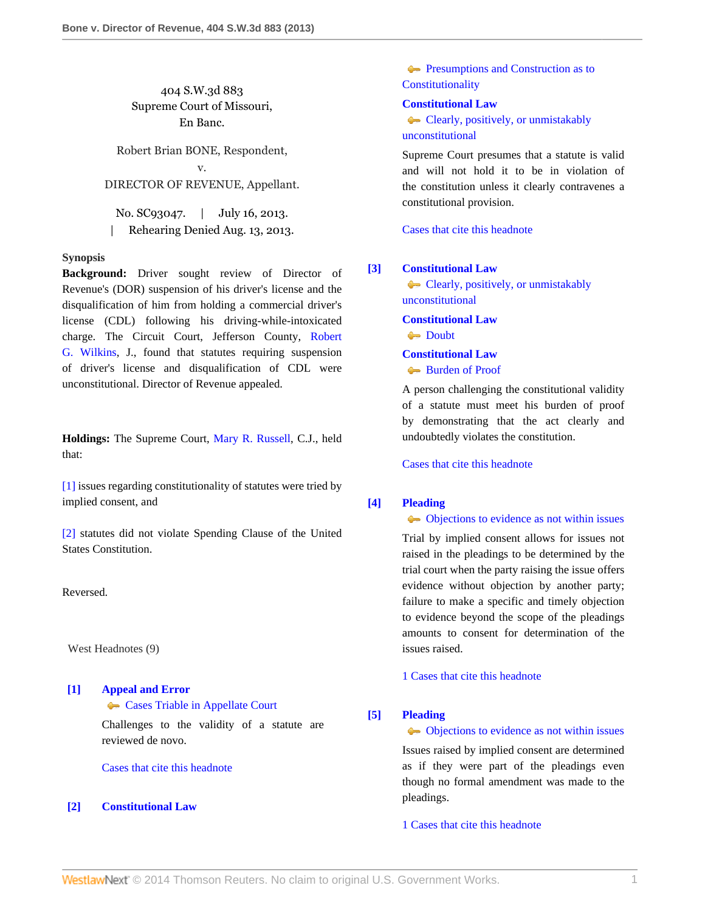404 S.W.3d 883 Supreme Court of Missouri, En Banc.

Robert Brian BONE, Respondent, v. DIRECTOR OF REVENUE, Appellant.

No. SC93047. | July 16, 2013. | Rehearing Denied Aug. 13, 2013.

## **Synopsis**

**Background:** Driver sought review of Director of Revenue's (DOR) suspension of his driver's license and the disqualification of him from holding a commercial driver's license (CDL) following his driving-while-intoxicated charge. The Circuit Court, Jefferson County, [Robert](http://www.westlaw.com/Link/Document/FullText?findType=h&pubNum=176284&cite=0155703401&originatingDoc=I461b60c6eeca11e2a98ec867961a22de&refType=RQ&originationContext=document&vr=3.0&rs=cblt1.0&transitionType=DocumentItem&contextData=(sc.Search)) [G. Wilkins](http://www.westlaw.com/Link/Document/FullText?findType=h&pubNum=176284&cite=0155703401&originatingDoc=I461b60c6eeca11e2a98ec867961a22de&refType=RQ&originationContext=document&vr=3.0&rs=cblt1.0&transitionType=DocumentItem&contextData=(sc.Search)), J., found that statutes requiring suspension of driver's license and disqualification of CDL were unconstitutional. Director of Revenue appealed.

**Holdings:** The Supreme Court, [Mary R. Russell](http://www.westlaw.com/Link/Document/FullText?findType=h&pubNum=176284&cite=0156065101&originatingDoc=I461b60c6eeca11e2a98ec867961a22de&refType=RQ&originationContext=document&vr=3.0&rs=cblt1.0&transitionType=DocumentItem&contextData=(sc.Search)), C.J., held that:

[\[1\]](#page-1-0) issues regarding constitutionality of statutes were tried by implied consent, and

[\[2\]](#page-1-1) statutes did not violate Spending Clause of the United States Constitution.

Reversed.

West Headnotes (9)

# <span id="page-0-0"></span>**[\[1\]](#page-2-0) [Appeal and Error](http://www.westlaw.com/Browse/Home/KeyNumber/30/View.html?docGuid=I461b60c6eeca11e2a98ec867961a22de&originationContext=document&vr=3.0&rs=cblt1.0&transitionType=DocumentItem&contextData=(sc.Search)) [Cases Triable in Appellate Court](http://www.westlaw.com/Browse/Home/KeyNumber/30k893/View.html?docGuid=I461b60c6eeca11e2a98ec867961a22de&originationContext=document&vr=3.0&rs=cblt1.0&transitionType=DocumentItem&contextData=(sc.Search))**

Challenges to the validity of a statute are reviewed de novo.

[Cases that cite this headnote](http://www.westlaw.com/Link/RelatedInformation/DocHeadnoteLink?docGuid=I461b60c6eeca11e2a98ec867961a22de&headnoteId=203107396900120131023084410&originationContext=document&vr=3.0&rs=cblt1.0&transitionType=CitingReferences&contextData=(sc.Search))

## <span id="page-0-1"></span>**[\[2\]](#page-2-1) [Constitutional Law](http://www.westlaw.com/Browse/Home/KeyNumber/92/View.html?docGuid=I461b60c6eeca11e2a98ec867961a22de&originationContext=document&vr=3.0&rs=cblt1.0&transitionType=DocumentItem&contextData=(sc.Search))**

**[Presumptions and Construction as to](http://www.westlaw.com/Browse/Home/KeyNumber/92VI(C)3/View.html?docGuid=I461b60c6eeca11e2a98ec867961a22de&originationContext=document&vr=3.0&rs=cblt1.0&transitionType=DocumentItem&contextData=(sc.Search)) [Constitutionality](http://www.westlaw.com/Browse/Home/KeyNumber/92VI(C)3/View.html?docGuid=I461b60c6eeca11e2a98ec867961a22de&originationContext=document&vr=3.0&rs=cblt1.0&transitionType=DocumentItem&contextData=(sc.Search))** 

## **[Constitutional Law](http://www.westlaw.com/Browse/Home/KeyNumber/92/View.html?docGuid=I461b60c6eeca11e2a98ec867961a22de&originationContext=document&vr=3.0&rs=cblt1.0&transitionType=DocumentItem&contextData=(sc.Search))**

[Clearly, positively, or unmistakably](http://www.westlaw.com/Browse/Home/KeyNumber/92k996/View.html?docGuid=I461b60c6eeca11e2a98ec867961a22de&originationContext=document&vr=3.0&rs=cblt1.0&transitionType=DocumentItem&contextData=(sc.Search)) [unconstitutional](http://www.westlaw.com/Browse/Home/KeyNumber/92k996/View.html?docGuid=I461b60c6eeca11e2a98ec867961a22de&originationContext=document&vr=3.0&rs=cblt1.0&transitionType=DocumentItem&contextData=(sc.Search))

Supreme Court presumes that a statute is valid and will not hold it to be in violation of the constitution unless it clearly contravenes a constitutional provision.

[Cases that cite this headnote](http://www.westlaw.com/Link/RelatedInformation/DocHeadnoteLink?docGuid=I461b60c6eeca11e2a98ec867961a22de&headnoteId=203107396900220131023084410&originationContext=document&vr=3.0&rs=cblt1.0&transitionType=CitingReferences&contextData=(sc.Search))

## <span id="page-0-2"></span>**[\[3\]](#page-2-2) [Constitutional Law](http://www.westlaw.com/Browse/Home/KeyNumber/92/View.html?docGuid=I461b60c6eeca11e2a98ec867961a22de&originationContext=document&vr=3.0&rs=cblt1.0&transitionType=DocumentItem&contextData=(sc.Search))**

[Clearly, positively, or unmistakably](http://www.westlaw.com/Browse/Home/KeyNumber/92k996/View.html?docGuid=I461b60c6eeca11e2a98ec867961a22de&originationContext=document&vr=3.0&rs=cblt1.0&transitionType=DocumentItem&contextData=(sc.Search)) [unconstitutional](http://www.westlaw.com/Browse/Home/KeyNumber/92k996/View.html?docGuid=I461b60c6eeca11e2a98ec867961a22de&originationContext=document&vr=3.0&rs=cblt1.0&transitionType=DocumentItem&contextData=(sc.Search))

**[Constitutional Law](http://www.westlaw.com/Browse/Home/KeyNumber/92/View.html?docGuid=I461b60c6eeca11e2a98ec867961a22de&originationContext=document&vr=3.0&rs=cblt1.0&transitionType=DocumentItem&contextData=(sc.Search)) [Doubt](http://www.westlaw.com/Browse/Home/KeyNumber/92k1001/View.html?docGuid=I461b60c6eeca11e2a98ec867961a22de&originationContext=document&vr=3.0&rs=cblt1.0&transitionType=DocumentItem&contextData=(sc.Search))** 

## **[Constitutional Law](http://www.westlaw.com/Browse/Home/KeyNumber/92/View.html?docGuid=I461b60c6eeca11e2a98ec867961a22de&originationContext=document&vr=3.0&rs=cblt1.0&transitionType=DocumentItem&contextData=(sc.Search))**

[Burden of Proof](http://www.westlaw.com/Browse/Home/KeyNumber/92VI(C)4/View.html?docGuid=I461b60c6eeca11e2a98ec867961a22de&originationContext=document&vr=3.0&rs=cblt1.0&transitionType=DocumentItem&contextData=(sc.Search))

A person challenging the constitutional validity of a statute must meet his burden of proof by demonstrating that the act clearly and undoubtedly violates the constitution.

[Cases that cite this headnote](http://www.westlaw.com/Link/RelatedInformation/DocHeadnoteLink?docGuid=I461b60c6eeca11e2a98ec867961a22de&headnoteId=203107396900320131023084410&originationContext=document&vr=3.0&rs=cblt1.0&transitionType=CitingReferences&contextData=(sc.Search))

# <span id="page-0-3"></span>**[\[4\]](#page-3-0) [Pleading](http://www.westlaw.com/Browse/Home/KeyNumber/302/View.html?docGuid=I461b60c6eeca11e2a98ec867961a22de&originationContext=document&vr=3.0&rs=cblt1.0&transitionType=DocumentItem&contextData=(sc.Search))**

[Objections to evidence as not within issues](http://www.westlaw.com/Browse/Home/KeyNumber/302k427/View.html?docGuid=I461b60c6eeca11e2a98ec867961a22de&originationContext=document&vr=3.0&rs=cblt1.0&transitionType=DocumentItem&contextData=(sc.Search))

Trial by implied consent allows for issues not raised in the pleadings to be determined by the trial court when the party raising the issue offers evidence without objection by another party; failure to make a specific and timely objection to evidence beyond the scope of the pleadings amounts to consent for determination of the issues raised.

[1 Cases that cite this headnote](http://www.westlaw.com/Link/RelatedInformation/DocHeadnoteLink?docGuid=I461b60c6eeca11e2a98ec867961a22de&headnoteId=203107396900420131023084410&originationContext=document&vr=3.0&rs=cblt1.0&transitionType=CitingReferences&contextData=(sc.Search))

## <span id="page-0-4"></span>**[\[5\]](#page-3-1) [Pleading](http://www.westlaw.com/Browse/Home/KeyNumber/302/View.html?docGuid=I461b60c6eeca11e2a98ec867961a22de&originationContext=document&vr=3.0&rs=cblt1.0&transitionType=DocumentItem&contextData=(sc.Search))**

 $\leftrightarrow$  [Objections to evidence as not within issues](http://www.westlaw.com/Browse/Home/KeyNumber/302k427/View.html?docGuid=I461b60c6eeca11e2a98ec867961a22de&originationContext=document&vr=3.0&rs=cblt1.0&transitionType=DocumentItem&contextData=(sc.Search)) Issues raised by implied consent are determined as if they were part of the pleadings even

though no formal amendment was made to the pleadings.

[1 Cases that cite this headnote](http://www.westlaw.com/Link/RelatedInformation/DocHeadnoteLink?docGuid=I461b60c6eeca11e2a98ec867961a22de&headnoteId=203107396900520131023084410&originationContext=document&vr=3.0&rs=cblt1.0&transitionType=CitingReferences&contextData=(sc.Search))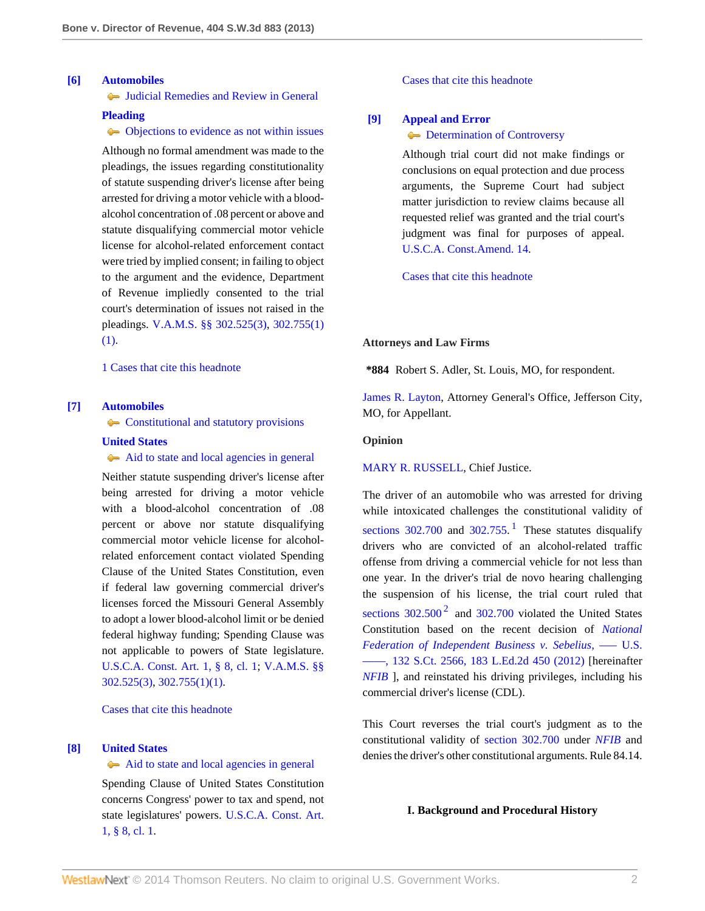#### <span id="page-1-0"></span>**[\[6\]](#page-3-2) [Automobiles](http://www.westlaw.com/Browse/Home/KeyNumber/48A/View.html?docGuid=I461b60c6eeca11e2a98ec867961a22de&originationContext=document&vr=3.0&rs=cblt1.0&transitionType=DocumentItem&contextData=(sc.Search))**

[Judicial Remedies and Review in General](http://www.westlaw.com/Browse/Home/KeyNumber/48Ak144.2(2)/View.html?docGuid=I461b60c6eeca11e2a98ec867961a22de&originationContext=document&vr=3.0&rs=cblt1.0&transitionType=DocumentItem&contextData=(sc.Search))

## **[Pleading](http://www.westlaw.com/Browse/Home/KeyNumber/302/View.html?docGuid=I461b60c6eeca11e2a98ec867961a22de&originationContext=document&vr=3.0&rs=cblt1.0&transitionType=DocumentItem&contextData=(sc.Search))**

## [Objections to evidence as not within issues](http://www.westlaw.com/Browse/Home/KeyNumber/302k427/View.html?docGuid=I461b60c6eeca11e2a98ec867961a22de&originationContext=document&vr=3.0&rs=cblt1.0&transitionType=DocumentItem&contextData=(sc.Search))

Although no formal amendment was made to the pleadings, the issues regarding constitutionality of statute suspending driver's license after being arrested for driving a motor vehicle with a bloodalcohol concentration of .08 percent or above and statute disqualifying commercial motor vehicle license for alcohol-related enforcement contact were tried by implied consent; in failing to object to the argument and the evidence, Department of Revenue impliedly consented to the trial court's determination of issues not raised in the pleadings. [V.A.M.S. §§ 302.525\(3\),](http://www.westlaw.com/Link/Document/FullText?findType=L&pubNum=1000229&cite=MOST302.525&originatingDoc=I461b60c6eeca11e2a98ec867961a22de&refType=LQ&originationContext=document&vr=3.0&rs=cblt1.0&transitionType=DocumentItem&contextData=(sc.Search)) [302.755\(1\)](http://www.westlaw.com/Link/Document/FullText?findType=L&pubNum=1000229&cite=MOST302.755&originatingDoc=I461b60c6eeca11e2a98ec867961a22de&refType=LQ&originationContext=document&vr=3.0&rs=cblt1.0&transitionType=DocumentItem&contextData=(sc.Search)) [\(1\)](http://www.westlaw.com/Link/Document/FullText?findType=L&pubNum=1000229&cite=MOST302.755&originatingDoc=I461b60c6eeca11e2a98ec867961a22de&refType=LQ&originationContext=document&vr=3.0&rs=cblt1.0&transitionType=DocumentItem&contextData=(sc.Search)).

[1 Cases that cite this headnote](http://www.westlaw.com/Link/RelatedInformation/DocHeadnoteLink?docGuid=I461b60c6eeca11e2a98ec867961a22de&headnoteId=203107396900620131023084410&originationContext=document&vr=3.0&rs=cblt1.0&transitionType=CitingReferences&contextData=(sc.Search))

## <span id="page-1-1"></span>**[\[7\]](#page-3-3) [Automobiles](http://www.westlaw.com/Browse/Home/KeyNumber/48A/View.html?docGuid=I461b60c6eeca11e2a98ec867961a22de&originationContext=document&vr=3.0&rs=cblt1.0&transitionType=DocumentItem&contextData=(sc.Search))**

**[Constitutional and statutory provisions](http://www.westlaw.com/Browse/Home/KeyNumber/48Ak144.1(1.5)/View.html?docGuid=I461b60c6eeca11e2a98ec867961a22de&originationContext=document&vr=3.0&rs=cblt1.0&transitionType=DocumentItem&contextData=(sc.Search))** 

# **[United States](http://www.westlaw.com/Browse/Home/KeyNumber/393/View.html?docGuid=I461b60c6eeca11e2a98ec867961a22de&originationContext=document&vr=3.0&rs=cblt1.0&transitionType=DocumentItem&contextData=(sc.Search))**

 $\Leftrightarrow$  [Aid to state and local agencies in general](http://www.westlaw.com/Browse/Home/KeyNumber/393k82(2)/View.html?docGuid=I461b60c6eeca11e2a98ec867961a22de&originationContext=document&vr=3.0&rs=cblt1.0&transitionType=DocumentItem&contextData=(sc.Search))

Neither statute suspending driver's license after being arrested for driving a motor vehicle with a blood-alcohol concentration of .08 percent or above nor statute disqualifying commercial motor vehicle license for alcoholrelated enforcement contact violated Spending Clause of the United States Constitution, even if federal law governing commercial driver's licenses forced the Missouri General Assembly to adopt a lower blood-alcohol limit or be denied federal highway funding; Spending Clause was not applicable to powers of State legislature. [U.S.C.A. Const. Art. 1, § 8, cl. 1;](http://www.westlaw.com/Link/Document/FullText?findType=L&pubNum=1000546&cite=USCOARTIS8CL1&originatingDoc=I461b60c6eeca11e2a98ec867961a22de&refType=LQ&originationContext=document&vr=3.0&rs=cblt1.0&transitionType=DocumentItem&contextData=(sc.Search)) [V.A.M.S. §§](http://www.westlaw.com/Link/Document/FullText?findType=L&pubNum=1000229&cite=MOST302.525&originatingDoc=I461b60c6eeca11e2a98ec867961a22de&refType=LQ&originationContext=document&vr=3.0&rs=cblt1.0&transitionType=DocumentItem&contextData=(sc.Search)) [302.525\(3\),](http://www.westlaw.com/Link/Document/FullText?findType=L&pubNum=1000229&cite=MOST302.525&originatingDoc=I461b60c6eeca11e2a98ec867961a22de&refType=LQ&originationContext=document&vr=3.0&rs=cblt1.0&transitionType=DocumentItem&contextData=(sc.Search)) [302.755\(1\)\(1\)](http://www.westlaw.com/Link/Document/FullText?findType=L&pubNum=1000229&cite=MOST302.755&originatingDoc=I461b60c6eeca11e2a98ec867961a22de&refType=LQ&originationContext=document&vr=3.0&rs=cblt1.0&transitionType=DocumentItem&contextData=(sc.Search)).

[Cases that cite this headnote](http://www.westlaw.com/Link/RelatedInformation/DocHeadnoteLink?docGuid=I461b60c6eeca11e2a98ec867961a22de&headnoteId=203107396900720131023084410&originationContext=document&vr=3.0&rs=cblt1.0&transitionType=CitingReferences&contextData=(sc.Search))

## <span id="page-1-2"></span>**[\[8\]](#page-3-4) [United States](http://www.westlaw.com/Browse/Home/KeyNumber/393/View.html?docGuid=I461b60c6eeca11e2a98ec867961a22de&originationContext=document&vr=3.0&rs=cblt1.0&transitionType=DocumentItem&contextData=(sc.Search))**

#### [Aid to state and local agencies in general](http://www.westlaw.com/Browse/Home/KeyNumber/393k82(2)/View.html?docGuid=I461b60c6eeca11e2a98ec867961a22de&originationContext=document&vr=3.0&rs=cblt1.0&transitionType=DocumentItem&contextData=(sc.Search))

Spending Clause of United States Constitution concerns Congress' power to tax and spend, not state legislatures' powers. [U.S.C.A. Const. Art.](http://www.westlaw.com/Link/Document/FullText?findType=L&pubNum=1000546&cite=USCOARTIS8CL1&originatingDoc=I461b60c6eeca11e2a98ec867961a22de&refType=LQ&originationContext=document&vr=3.0&rs=cblt1.0&transitionType=DocumentItem&contextData=(sc.Search)) [1, § 8, cl. 1](http://www.westlaw.com/Link/Document/FullText?findType=L&pubNum=1000546&cite=USCOARTIS8CL1&originatingDoc=I461b60c6eeca11e2a98ec867961a22de&refType=LQ&originationContext=document&vr=3.0&rs=cblt1.0&transitionType=DocumentItem&contextData=(sc.Search)).

## [Cases that cite this headnote](http://www.westlaw.com/Link/RelatedInformation/DocHeadnoteLink?docGuid=I461b60c6eeca11e2a98ec867961a22de&headnoteId=203107396900820131023084410&originationContext=document&vr=3.0&rs=cblt1.0&transitionType=CitingReferences&contextData=(sc.Search))

# <span id="page-1-3"></span>**[\[9\]](#page-4-0) [Appeal and Error](http://www.westlaw.com/Browse/Home/KeyNumber/30/View.html?docGuid=I461b60c6eeca11e2a98ec867961a22de&originationContext=document&vr=3.0&rs=cblt1.0&transitionType=DocumentItem&contextData=(sc.Search))**

**[Determination of Controversy](http://www.westlaw.com/Browse/Home/KeyNumber/30k80/View.html?docGuid=I461b60c6eeca11e2a98ec867961a22de&originationContext=document&vr=3.0&rs=cblt1.0&transitionType=DocumentItem&contextData=(sc.Search))** 

Although trial court did not make findings or conclusions on equal protection and due process arguments, the Supreme Court had subject matter jurisdiction to review claims because all requested relief was granted and the trial court's judgment was final for purposes of appeal. [U.S.C.A. Const.Amend. 14.](http://www.westlaw.com/Link/Document/FullText?findType=L&pubNum=1000546&cite=USCOAMENDXIV&originatingDoc=I461b60c6eeca11e2a98ec867961a22de&refType=LQ&originationContext=document&vr=3.0&rs=cblt1.0&transitionType=DocumentItem&contextData=(sc.Search))

[Cases that cite this headnote](http://www.westlaw.com/Link/RelatedInformation/DocHeadnoteLink?docGuid=I461b60c6eeca11e2a98ec867961a22de&headnoteId=203107396900920131023084410&originationContext=document&vr=3.0&rs=cblt1.0&transitionType=CitingReferences&contextData=(sc.Search))

## **Attorneys and Law Firms**

**\*884** Robert S. Adler, St. Louis, MO, for respondent.

[James R. Layton](http://www.westlaw.com/Link/Document/FullText?findType=h&pubNum=176284&cite=0214930801&originatingDoc=I461b60c6eeca11e2a98ec867961a22de&refType=RQ&originationContext=document&vr=3.0&rs=cblt1.0&transitionType=DocumentItem&contextData=(sc.Search)), Attorney General's Office, Jefferson City, MO, for Appellant.

## **Opinion**

## [MARY R. RUSSELL,](http://www.westlaw.com/Link/Document/FullText?findType=h&pubNum=176284&cite=0156065101&originatingDoc=I461b60c6eeca11e2a98ec867961a22de&refType=RQ&originationContext=document&vr=3.0&rs=cblt1.0&transitionType=DocumentItem&contextData=(sc.Search)) Chief Justice.

<span id="page-1-5"></span><span id="page-1-4"></span>The driver of an automobile who was arrested for driving while intoxicated challenges the constitutional validity of [sections 302.700](http://www.westlaw.com/Link/Document/FullText?findType=L&pubNum=1000229&cite=MOST302.700&originatingDoc=I461b60c6eeca11e2a98ec867961a22de&refType=LQ&originationContext=document&vr=3.0&rs=cblt1.0&transitionType=DocumentItem&contextData=(sc.Search)) and [302.755](http://www.westlaw.com/Link/Document/FullText?findType=L&pubNum=1000229&cite=MOST302.755&originatingDoc=I461b60c6eeca11e2a98ec867961a22de&refType=LQ&originationContext=document&vr=3.0&rs=cblt1.0&transitionType=DocumentItem&contextData=(sc.Search)).<sup>[1](#page-4-1)</sup> These statutes disqualify drivers who are convicted of an alcohol-related traffic offense from driving a commercial vehicle for not less than one year. In the driver's trial de novo hearing challenging the suspension of his license, the trial court ruled that sections  $302.500^2$  $302.500^2$  $302.500^2$  and  $302.700$  violated the United States Constitution based on the recent decision of *[National](http://www.westlaw.com/Link/Document/FullText?findType=Y&serNum=2027995535&pubNum=708&originationContext=document&vr=3.0&rs=cblt1.0&transitionType=DocumentItem&contextData=(sc.Search)) [Federation of Independent Business v. Sebelius,](http://www.westlaw.com/Link/Document/FullText?findType=Y&serNum=2027995535&pubNum=708&originationContext=document&vr=3.0&rs=cblt1.0&transitionType=DocumentItem&contextData=(sc.Search))* ––– U.S. [––––, 132 S.Ct. 2566, 183 L.Ed.2d 450 \(2012\)](http://www.westlaw.com/Link/Document/FullText?findType=Y&serNum=2027995535&pubNum=708&originationContext=document&vr=3.0&rs=cblt1.0&transitionType=DocumentItem&contextData=(sc.Search)) [hereinafter *[NFIB](http://www.westlaw.com/Link/Document/FullText?findType=Y&serNum=2027995535&originationContext=document&vr=3.0&rs=cblt1.0&transitionType=DocumentItem&contextData=(sc.Search))* ], and reinstated his driving privileges, including his commercial driver's license (CDL).

This Court reverses the trial court's judgment as to the constitutional validity of [section 302.700](http://www.westlaw.com/Link/Document/FullText?findType=L&pubNum=1000229&cite=MOST302.700&originatingDoc=I461b60c6eeca11e2a98ec867961a22de&refType=LQ&originationContext=document&vr=3.0&rs=cblt1.0&transitionType=DocumentItem&contextData=(sc.Search)) under *[NFIB](http://www.westlaw.com/Link/Document/FullText?findType=Y&serNum=2027995535&originationContext=document&vr=3.0&rs=cblt1.0&transitionType=DocumentItem&contextData=(sc.Search))* and denies the driver's other constitutional arguments. Rule 84.14.

## **I. Background and Procedural History**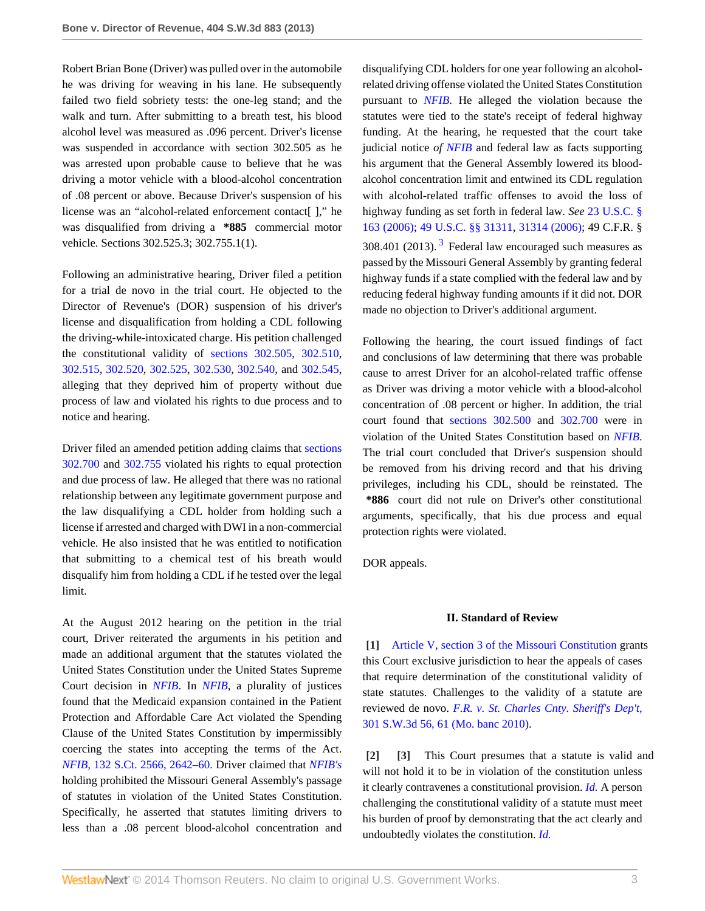Robert Brian Bone (Driver) was pulled over in the automobile he was driving for weaving in his lane. He subsequently failed two field sobriety tests: the one-leg stand; and the walk and turn. After submitting to a breath test, his blood alcohol level was measured as .096 percent. Driver's license was suspended in accordance with section 302.505 as he was arrested upon probable cause to believe that he was driving a motor vehicle with a blood-alcohol concentration of .08 percent or above. Because Driver's suspension of his license was an "alcohol-related enforcement contact[ ]," he was disqualified from driving a **\*885** commercial motor vehicle. Sections 302.525.3; 302.755.1(1).

Following an administrative hearing, Driver filed a petition for a trial de novo in the trial court. He objected to the Director of Revenue's (DOR) suspension of his driver's license and disqualification from holding a CDL following the driving-while-intoxicated charge. His petition challenged the constitutional validity of [sections 302.505,](http://www.westlaw.com/Link/Document/FullText?findType=L&pubNum=1000229&cite=MOST302.505&originatingDoc=I461b60c6eeca11e2a98ec867961a22de&refType=LQ&originationContext=document&vr=3.0&rs=cblt1.0&transitionType=DocumentItem&contextData=(sc.Search)) [302.510](http://www.westlaw.com/Link/Document/FullText?findType=L&pubNum=1000229&cite=MOST302.510&originatingDoc=I461b60c6eeca11e2a98ec867961a22de&refType=LQ&originationContext=document&vr=3.0&rs=cblt1.0&transitionType=DocumentItem&contextData=(sc.Search)), [302.515](http://www.westlaw.com/Link/Document/FullText?findType=L&pubNum=1000229&cite=MOST302.515&originatingDoc=I461b60c6eeca11e2a98ec867961a22de&refType=LQ&originationContext=document&vr=3.0&rs=cblt1.0&transitionType=DocumentItem&contextData=(sc.Search)), [302.520,](http://www.westlaw.com/Link/Document/FullText?findType=L&pubNum=1000229&cite=MOST302.520&originatingDoc=I461b60c6eeca11e2a98ec867961a22de&refType=LQ&originationContext=document&vr=3.0&rs=cblt1.0&transitionType=DocumentItem&contextData=(sc.Search)) [302.525,](http://www.westlaw.com/Link/Document/FullText?findType=L&pubNum=1000229&cite=MOST302.525&originatingDoc=I461b60c6eeca11e2a98ec867961a22de&refType=LQ&originationContext=document&vr=3.0&rs=cblt1.0&transitionType=DocumentItem&contextData=(sc.Search)) [302.530,](http://www.westlaw.com/Link/Document/FullText?findType=L&pubNum=1000229&cite=MOST302.530&originatingDoc=I461b60c6eeca11e2a98ec867961a22de&refType=LQ&originationContext=document&vr=3.0&rs=cblt1.0&transitionType=DocumentItem&contextData=(sc.Search)) [302.540,](http://www.westlaw.com/Link/Document/FullText?findType=L&pubNum=1000229&cite=MOST302.540&originatingDoc=I461b60c6eeca11e2a98ec867961a22de&refType=LQ&originationContext=document&vr=3.0&rs=cblt1.0&transitionType=DocumentItem&contextData=(sc.Search)) and [302.545](http://www.westlaw.com/Link/Document/FullText?findType=L&pubNum=1000229&cite=MOST302.545&originatingDoc=I461b60c6eeca11e2a98ec867961a22de&refType=LQ&originationContext=document&vr=3.0&rs=cblt1.0&transitionType=DocumentItem&contextData=(sc.Search)), alleging that they deprived him of property without due process of law and violated his rights to due process and to notice and hearing.

Driver filed an amended petition adding claims that [sections](http://www.westlaw.com/Link/Document/FullText?findType=L&pubNum=1000229&cite=MOST302.700&originatingDoc=I461b60c6eeca11e2a98ec867961a22de&refType=LQ&originationContext=document&vr=3.0&rs=cblt1.0&transitionType=DocumentItem&contextData=(sc.Search)) [302.700](http://www.westlaw.com/Link/Document/FullText?findType=L&pubNum=1000229&cite=MOST302.700&originatingDoc=I461b60c6eeca11e2a98ec867961a22de&refType=LQ&originationContext=document&vr=3.0&rs=cblt1.0&transitionType=DocumentItem&contextData=(sc.Search)) and [302.755](http://www.westlaw.com/Link/Document/FullText?findType=L&pubNum=1000229&cite=MOST302.755&originatingDoc=I461b60c6eeca11e2a98ec867961a22de&refType=LQ&originationContext=document&vr=3.0&rs=cblt1.0&transitionType=DocumentItem&contextData=(sc.Search)) violated his rights to equal protection and due process of law. He alleged that there was no rational relationship between any legitimate government purpose and the law disqualifying a CDL holder from holding such a license if arrested and charged with DWI in a non-commercial vehicle. He also insisted that he was entitled to notification that submitting to a chemical test of his breath would disqualify him from holding a CDL if he tested over the legal limit.

At the August 2012 hearing on the petition in the trial court, Driver reiterated the arguments in his petition and made an additional argument that the statutes violated the United States Constitution under the United States Supreme Court decision in *[NFIB](http://www.westlaw.com/Link/Document/FullText?findType=Y&serNum=2027995535&originationContext=document&vr=3.0&rs=cblt1.0&transitionType=DocumentItem&contextData=(sc.Search))*. In *[NFIB](http://www.westlaw.com/Link/Document/FullText?findType=Y&serNum=2027995535&originationContext=document&vr=3.0&rs=cblt1.0&transitionType=DocumentItem&contextData=(sc.Search))*, a plurality of justices found that the Medicaid expansion contained in the Patient Protection and Affordable Care Act violated the Spending Clause of the United States Constitution by impermissibly coercing the states into accepting the terms of the Act. *NFIB,* [132 S.Ct. 2566, 2642–60.](http://www.westlaw.com/Link/Document/FullText?findType=Y&serNum=2027995535&pubNum=708&fi=co_pp_sp_708_2642&originationContext=document&vr=3.0&rs=cblt1.0&transitionType=DocumentItem&contextData=(sc.Search)#co_pp_sp_708_2642) Driver claimed that *[NFIB's](http://www.westlaw.com/Link/Document/FullText?findType=Y&serNum=2027995535&originationContext=document&vr=3.0&rs=cblt1.0&transitionType=DocumentItem&contextData=(sc.Search))* holding prohibited the Missouri General Assembly's passage of statutes in violation of the United States Constitution. Specifically, he asserted that statutes limiting drivers to less than a .08 percent blood-alcohol concentration and disqualifying CDL holders for one year following an alcoholrelated driving offense violated the United States Constitution pursuant to *[NFIB](http://www.westlaw.com/Link/Document/FullText?findType=Y&serNum=2027995535&originationContext=document&vr=3.0&rs=cblt1.0&transitionType=DocumentItem&contextData=(sc.Search))*. He alleged the violation because the statutes were tied to the state's receipt of federal highway funding. At the hearing, he requested that the court take judicial notice *of [NFIB](http://www.westlaw.com/Link/Document/FullText?findType=Y&serNum=2027995535&originationContext=document&vr=3.0&rs=cblt1.0&transitionType=DocumentItem&contextData=(sc.Search))* and federal law as facts supporting his argument that the General Assembly lowered its bloodalcohol concentration limit and entwined its CDL regulation with alcohol-related traffic offenses to avoid the loss of highway funding as set forth in federal law. *See* [23 U.S.C. §](http://www.westlaw.com/Link/Document/FullText?findType=L&pubNum=1000546&cite=23USCAS163&originatingDoc=I461b60c6eeca11e2a98ec867961a22de&refType=LQ&originationContext=document&vr=3.0&rs=cblt1.0&transitionType=DocumentItem&contextData=(sc.Search)) [163 \(2006\)](http://www.westlaw.com/Link/Document/FullText?findType=L&pubNum=1000546&cite=23USCAS163&originatingDoc=I461b60c6eeca11e2a98ec867961a22de&refType=LQ&originationContext=document&vr=3.0&rs=cblt1.0&transitionType=DocumentItem&contextData=(sc.Search)); [49 U.S.C. §§ 31311,](http://www.westlaw.com/Link/Document/FullText?findType=L&pubNum=1000546&cite=49USCAS31311&originatingDoc=I461b60c6eeca11e2a98ec867961a22de&refType=LQ&originationContext=document&vr=3.0&rs=cblt1.0&transitionType=DocumentItem&contextData=(sc.Search)) [31314 \(2006\)](http://www.westlaw.com/Link/Document/FullText?findType=L&pubNum=1000546&cite=49USCAS31314&originatingDoc=I461b60c6eeca11e2a98ec867961a22de&refType=LQ&originationContext=document&vr=3.0&rs=cblt1.0&transitionType=DocumentItem&contextData=(sc.Search)); 49 C.F.R. § [3](#page-4-3)08.401 (2013).<sup>3</sup> Federal law encouraged such measures as passed by the Missouri General Assembly by granting federal highway funds if a state complied with the federal law and by reducing federal highway funding amounts if it did not. DOR made no objection to Driver's additional argument.

<span id="page-2-3"></span>Following the hearing, the court issued findings of fact and conclusions of law determining that there was probable cause to arrest Driver for an alcohol-related traffic offense as Driver was driving a motor vehicle with a blood-alcohol concentration of .08 percent or higher. In addition, the trial court found that [sections 302.500](http://www.westlaw.com/Link/Document/FullText?findType=L&pubNum=1000229&cite=MOST302.500&originatingDoc=I461b60c6eeca11e2a98ec867961a22de&refType=LQ&originationContext=document&vr=3.0&rs=cblt1.0&transitionType=DocumentItem&contextData=(sc.Search)) and [302.700](http://www.westlaw.com/Link/Document/FullText?findType=L&pubNum=1000229&cite=MOST302.700&originatingDoc=I461b60c6eeca11e2a98ec867961a22de&refType=LQ&originationContext=document&vr=3.0&rs=cblt1.0&transitionType=DocumentItem&contextData=(sc.Search)) were in violation of the United States Constitution based on *[NFIB](http://www.westlaw.com/Link/Document/FullText?findType=Y&serNum=2027995535&originationContext=document&vr=3.0&rs=cblt1.0&transitionType=DocumentItem&contextData=(sc.Search))*. The trial court concluded that Driver's suspension should be removed from his driving record and that his driving privileges, including his CDL, should be reinstated. The **\*886** court did not rule on Driver's other constitutional arguments, specifically, that his due process and equal protection rights were violated.

DOR appeals.

## **II. Standard of Review**

<span id="page-2-0"></span>**[\[1\]](#page-0-0)** [Article V, section 3 of the Missouri Constitution](http://www.westlaw.com/Link/Document/FullText?findType=L&pubNum=1000229&cite=MOCNART5S3&originatingDoc=I461b60c6eeca11e2a98ec867961a22de&refType=LQ&originationContext=document&vr=3.0&rs=cblt1.0&transitionType=DocumentItem&contextData=(sc.Search)) grants this Court exclusive jurisdiction to hear the appeals of cases that require determination of the constitutional validity of state statutes. Challenges to the validity of a statute are reviewed de novo. *[F.R. v. St. Charles Cnty. Sheriff's Dep't,](http://www.westlaw.com/Link/Document/FullText?findType=Y&serNum=2021094315&pubNum=4644&fi=co_pp_sp_4644_61&originationContext=document&vr=3.0&rs=cblt1.0&transitionType=DocumentItem&contextData=(sc.Search)#co_pp_sp_4644_61)* [301 S.W.3d 56, 61 \(Mo. banc 2010\)](http://www.westlaw.com/Link/Document/FullText?findType=Y&serNum=2021094315&pubNum=4644&fi=co_pp_sp_4644_61&originationContext=document&vr=3.0&rs=cblt1.0&transitionType=DocumentItem&contextData=(sc.Search)#co_pp_sp_4644_61).

<span id="page-2-2"></span><span id="page-2-1"></span>**[\[2\]](#page-0-1) [\[3\]](#page-0-2)** This Court presumes that a statute is valid and will not hold it to be in violation of the constitution unless it clearly contravenes a constitutional provision. *[Id.](http://www.westlaw.com/Link/Document/FullText?findType=Y&serNum=2021094315&originationContext=document&vr=3.0&rs=cblt1.0&transitionType=DocumentItem&contextData=(sc.Search))* A person challenging the constitutional validity of a statute must meet his burden of proof by demonstrating that the act clearly and undoubtedly violates the constitution. *[Id.](http://www.westlaw.com/Link/Document/FullText?findType=Y&serNum=2021094315&originationContext=document&vr=3.0&rs=cblt1.0&transitionType=DocumentItem&contextData=(sc.Search))*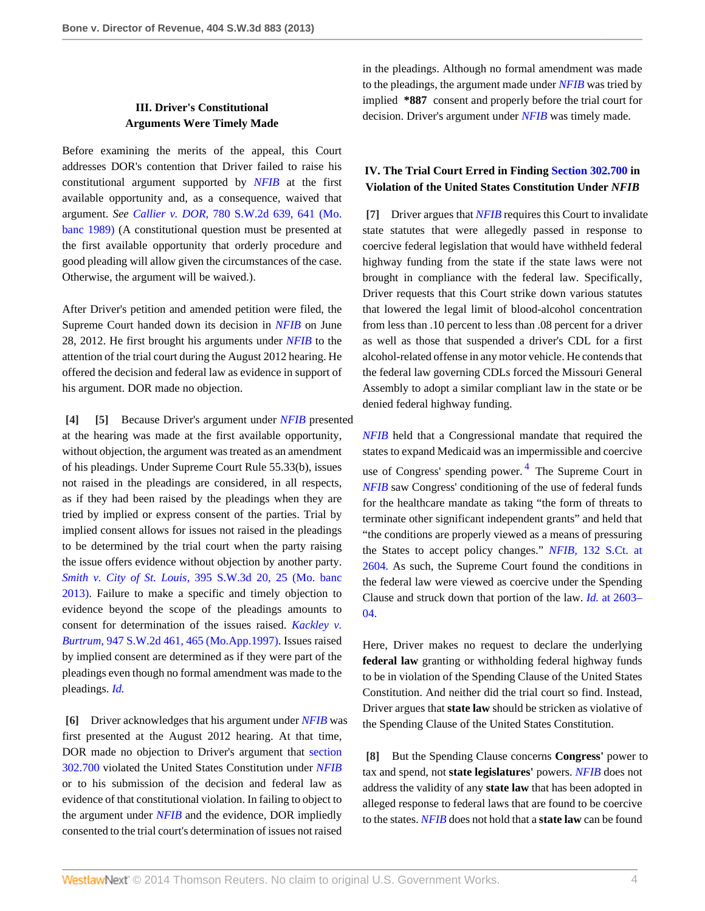# **III. Driver's Constitutional Arguments Were Timely Made**

Before examining the merits of the appeal, this Court addresses DOR's contention that Driver failed to raise his constitutional argument supported by *[NFIB](http://www.westlaw.com/Link/Document/FullText?findType=Y&serNum=2027995535&originationContext=document&vr=3.0&rs=cblt1.0&transitionType=DocumentItem&contextData=(sc.Search))* at the first available opportunity and, as a consequence, waived that argument. *See Callier v. DOR,* [780 S.W.2d 639, 641 \(Mo.](http://www.westlaw.com/Link/Document/FullText?findType=Y&serNum=1989175276&pubNum=713&fi=co_pp_sp_713_641&originationContext=document&vr=3.0&rs=cblt1.0&transitionType=DocumentItem&contextData=(sc.Search)#co_pp_sp_713_641) [banc 1989\)](http://www.westlaw.com/Link/Document/FullText?findType=Y&serNum=1989175276&pubNum=713&fi=co_pp_sp_713_641&originationContext=document&vr=3.0&rs=cblt1.0&transitionType=DocumentItem&contextData=(sc.Search)#co_pp_sp_713_641) (A constitutional question must be presented at the first available opportunity that orderly procedure and good pleading will allow given the circumstances of the case. Otherwise, the argument will be waived.).

After Driver's petition and amended petition were filed, the Supreme Court handed down its decision in *[NFIB](http://www.westlaw.com/Link/Document/FullText?findType=Y&serNum=2027995535&originationContext=document&vr=3.0&rs=cblt1.0&transitionType=DocumentItem&contextData=(sc.Search))* on June 28, 2012. He first brought his arguments under *[NFIB](http://www.westlaw.com/Link/Document/FullText?findType=Y&serNum=2027995535&originationContext=document&vr=3.0&rs=cblt1.0&transitionType=DocumentItem&contextData=(sc.Search))* to the attention of the trial court during the August 2012 hearing. He offered the decision and federal law as evidence in support of his argument. DOR made no objection.

<span id="page-3-1"></span><span id="page-3-0"></span>**[\[4\]](#page-0-3) [\[5](#page-0-4)]** Because Driver's argument under *[NFIB](http://www.westlaw.com/Link/Document/FullText?findType=Y&serNum=2027995535&originationContext=document&vr=3.0&rs=cblt1.0&transitionType=DocumentItem&contextData=(sc.Search))* presented at the hearing was made at the first available opportunity, without objection, the argument was treated as an amendment of his pleadings. Under Supreme Court Rule 55.33(b), issues not raised in the pleadings are considered, in all respects, as if they had been raised by the pleadings when they are tried by implied or express consent of the parties. Trial by implied consent allows for issues not raised in the pleadings to be determined by the trial court when the party raising the issue offers evidence without objection by another party. *Smith v. City of St. Louis,* [395 S.W.3d 20, 25 \(Mo. banc](http://www.westlaw.com/Link/Document/FullText?findType=Y&serNum=2030325683&pubNum=4644&fi=co_pp_sp_4644_25&originationContext=document&vr=3.0&rs=cblt1.0&transitionType=DocumentItem&contextData=(sc.Search)#co_pp_sp_4644_25) [2013\)](http://www.westlaw.com/Link/Document/FullText?findType=Y&serNum=2030325683&pubNum=4644&fi=co_pp_sp_4644_25&originationContext=document&vr=3.0&rs=cblt1.0&transitionType=DocumentItem&contextData=(sc.Search)#co_pp_sp_4644_25). Failure to make a specific and timely objection to evidence beyond the scope of the pleadings amounts to consent for determination of the issues raised. *[Kackley v.](http://www.westlaw.com/Link/Document/FullText?findType=Y&serNum=1997129640&pubNum=713&fi=co_pp_sp_713_465&originationContext=document&vr=3.0&rs=cblt1.0&transitionType=DocumentItem&contextData=(sc.Search)#co_pp_sp_713_465) Burtrum,* [947 S.W.2d 461, 465 \(Mo.App.1997\).](http://www.westlaw.com/Link/Document/FullText?findType=Y&serNum=1997129640&pubNum=713&fi=co_pp_sp_713_465&originationContext=document&vr=3.0&rs=cblt1.0&transitionType=DocumentItem&contextData=(sc.Search)#co_pp_sp_713_465) Issues raised by implied consent are determined as if they were part of the pleadings even though no formal amendment was made to the pleadings. *[Id.](http://www.westlaw.com/Link/Document/FullText?findType=Y&serNum=1997129640&originationContext=document&vr=3.0&rs=cblt1.0&transitionType=DocumentItem&contextData=(sc.Search))*

<span id="page-3-2"></span>**[\[6\]](#page-1-0)** Driver acknowledges that his argument under *[NFIB](http://www.westlaw.com/Link/Document/FullText?findType=Y&serNum=2027995535&originationContext=document&vr=3.0&rs=cblt1.0&transitionType=DocumentItem&contextData=(sc.Search))* was first presented at the August 2012 hearing. At that time, DOR made no objection to Driver's argument that [section](http://www.westlaw.com/Link/Document/FullText?findType=L&pubNum=1000229&cite=MOST302.700&originatingDoc=I461b60c6eeca11e2a98ec867961a22de&refType=LQ&originationContext=document&vr=3.0&rs=cblt1.0&transitionType=DocumentItem&contextData=(sc.Search)) [302.700](http://www.westlaw.com/Link/Document/FullText?findType=L&pubNum=1000229&cite=MOST302.700&originatingDoc=I461b60c6eeca11e2a98ec867961a22de&refType=LQ&originationContext=document&vr=3.0&rs=cblt1.0&transitionType=DocumentItem&contextData=(sc.Search)) violated the United States Constitution under *[NFIB](http://www.westlaw.com/Link/Document/FullText?findType=Y&serNum=2027995535&originationContext=document&vr=3.0&rs=cblt1.0&transitionType=DocumentItem&contextData=(sc.Search))* or to his submission of the decision and federal law as evidence of that constitutional violation. In failing to object to the argument under *[NFIB](http://www.westlaw.com/Link/Document/FullText?findType=Y&serNum=2027995535&originationContext=document&vr=3.0&rs=cblt1.0&transitionType=DocumentItem&contextData=(sc.Search))* and the evidence, DOR impliedly consented to the trial court's determination of issues not raised

in the pleadings. Although no formal amendment was made to the pleadings, the argument made under *[NFIB](http://www.westlaw.com/Link/Document/FullText?findType=Y&serNum=2027995535&originationContext=document&vr=3.0&rs=cblt1.0&transitionType=DocumentItem&contextData=(sc.Search))* was tried by implied **\*887** consent and properly before the trial court for decision. Driver's argument under *[NFIB](http://www.westlaw.com/Link/Document/FullText?findType=Y&serNum=2027995535&originationContext=document&vr=3.0&rs=cblt1.0&transitionType=DocumentItem&contextData=(sc.Search))* was timely made.

# **IV. The Trial Court Erred in Finding [Section 302.700](http://www.westlaw.com/Link/Document/FullText?findType=L&pubNum=1000229&cite=MOST302.700&originatingDoc=I461b60c6eeca11e2a98ec867961a22de&refType=LQ&originationContext=document&vr=3.0&rs=cblt1.0&transitionType=DocumentItem&contextData=(sc.Search)) in Violation of the United States Constitution Under** *NFIB*

<span id="page-3-3"></span>**[\[7\]](#page-1-1)** Driver argues that *[NFIB](http://www.westlaw.com/Link/Document/FullText?findType=Y&serNum=2027995535&originationContext=document&vr=3.0&rs=cblt1.0&transitionType=DocumentItem&contextData=(sc.Search))* requires this Court to invalidate state statutes that were allegedly passed in response to coercive federal legislation that would have withheld federal highway funding from the state if the state laws were not brought in compliance with the federal law. Specifically, Driver requests that this Court strike down various statutes that lowered the legal limit of blood-alcohol concentration from less than .10 percent to less than .08 percent for a driver as well as those that suspended a driver's CDL for a first alcohol-related offense in any motor vehicle. He contends that the federal law governing CDLs forced the Missouri General Assembly to adopt a similar compliant law in the state or be denied federal highway funding.

<span id="page-3-5"></span>*[NFIB](http://www.westlaw.com/Link/Document/FullText?findType=Y&serNum=2027995535&originationContext=document&vr=3.0&rs=cblt1.0&transitionType=DocumentItem&contextData=(sc.Search))* held that a Congressional mandate that required the states to expand Medicaid was an impermissible and coercive use of Congress' spending power.<sup>[4](#page-4-4)</sup> The Supreme Court in *[NFIB](http://www.westlaw.com/Link/Document/FullText?findType=Y&serNum=2027995535&originationContext=document&vr=3.0&rs=cblt1.0&transitionType=DocumentItem&contextData=(sc.Search))* saw Congress' conditioning of the use of federal funds for the healthcare mandate as taking "the form of threats to terminate other significant independent grants" and held that "the conditions are properly viewed as a means of pressuring the States to accept policy changes." *NFIB,* [132 S.Ct. at](http://www.westlaw.com/Link/Document/FullText?findType=Y&serNum=2027995535&pubNum=708&fi=co_pp_sp_708_2604&originationContext=document&vr=3.0&rs=cblt1.0&transitionType=DocumentItem&contextData=(sc.Search)#co_pp_sp_708_2604) [2604.](http://www.westlaw.com/Link/Document/FullText?findType=Y&serNum=2027995535&pubNum=708&fi=co_pp_sp_708_2604&originationContext=document&vr=3.0&rs=cblt1.0&transitionType=DocumentItem&contextData=(sc.Search)#co_pp_sp_708_2604) As such, the Supreme Court found the conditions in the federal law were viewed as coercive under the Spending Clause and struck down that portion of the law. *Id.* [at 2603–](http://www.westlaw.com/Link/Document/FullText?findType=Y&serNum=2027995535&originationContext=document&vr=3.0&rs=cblt1.0&transitionType=DocumentItem&contextData=(sc.Search)) [04.](http://www.westlaw.com/Link/Document/FullText?findType=Y&serNum=2027995535&originationContext=document&vr=3.0&rs=cblt1.0&transitionType=DocumentItem&contextData=(sc.Search))

Here, Driver makes no request to declare the underlying **federal law** granting or withholding federal highway funds to be in violation of the Spending Clause of the United States Constitution. And neither did the trial court so find. Instead, Driver argues that **state law** should be stricken as violative of the Spending Clause of the United States Constitution.

<span id="page-3-4"></span>**[\[8\]](#page-1-2)** But the Spending Clause concerns **Congress'** power to tax and spend, not **state legislatures'** powers. *[NFIB](http://www.westlaw.com/Link/Document/FullText?findType=Y&serNum=2027995535&originationContext=document&vr=3.0&rs=cblt1.0&transitionType=DocumentItem&contextData=(sc.Search))* does not address the validity of any **state law** that has been adopted in alleged response to federal laws that are found to be coercive to the states. *[NFIB](http://www.westlaw.com/Link/Document/FullText?findType=Y&serNum=2027995535&originationContext=document&vr=3.0&rs=cblt1.0&transitionType=DocumentItem&contextData=(sc.Search))* does not hold that a **state law** can be found